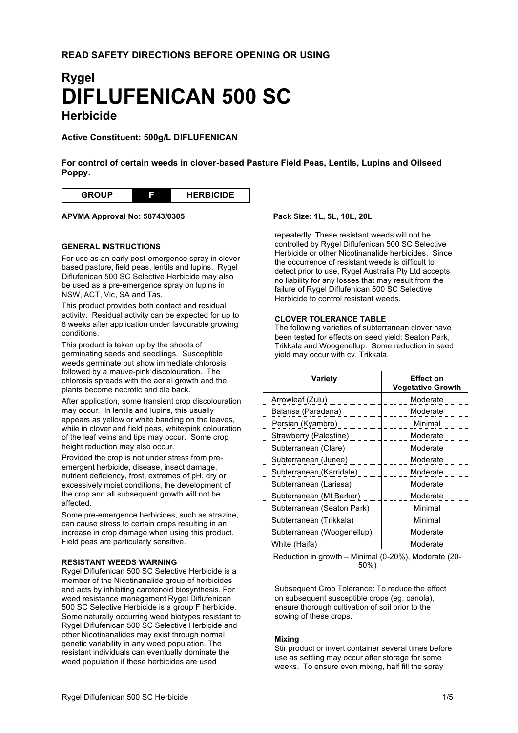# **Rygel DIFLUFENICAN 500 SC Herbicide**

# **Active Constituent: 500g/L DIFLUFENICAN**

**For control of certain weeds in clover-based Pasture Field Peas, Lentils, Lupins and Oilseed Poppy.**

| <b>CD</b><br>םו | HEI | <b>RBICIDE</b> |
|-----------------|-----|----------------|
|-----------------|-----|----------------|

**APVMA Approval No: 58743/0305 Pack Size: 1L, 5L, 10L, 20L**

# **GENERAL INSTRUCTIONS**

For use as an early post-emergence spray in cloverbased pasture, field peas, lentils and lupins. Rygel Diflufenican 500 SC Selective Herbicide may also be used as a pre-emergence spray on lupins in NSW, ACT, Vic, SA and Tas.

This product provides both contact and residual activity. Residual activity can be expected for up to 8 weeks after application under favourable growing conditions.

This product is taken up by the shoots of germinating seeds and seedlings. Susceptible weeds germinate but show immediate chlorosis followed by a mauve-pink discolouration. The chlorosis spreads with the aerial growth and the plants become necrotic and die back.

After application, some transient crop discolouration may occur. In lentils and lupins, this usually appears as yellow or white banding on the leaves, while in clover and field peas, white/pink colouration of the leaf veins and tips may occur. Some crop height reduction may also occur.

Provided the crop is not under stress from preemergent herbicide, disease, insect damage, nutrient deficiency, frost, extremes of pH, dry or excessively moist conditions, the development of the crop and all subsequent growth will not be affected.

Some pre-emergence herbicides, such as atrazine, can cause stress to certain crops resulting in an increase in crop damage when using this product. Field peas are particularly sensitive.

#### **RESISTANT WEEDS WARNING**

Rygel Diflufenican 500 SC Selective Herbicide is a member of the Nicotinanalide group of herbicides and acts by inhibiting carotenoid biosynthesis. For weed resistance management Rygel Diflufenican 500 SC Selective Herbicide is a group F herbicide. Some naturally occurring weed biotypes resistant to Rygel Diflufenican 500 SC Selective Herbicide and other Nicotinanalides may exist through normal genetic variability in any weed population. The resistant individuals can eventually dominate the weed population if these herbicides are used

repeatedly. These resistant weeds will not be controlled by Rygel Diflufenican 500 SC Selective Herbicide or other Nicotinanalide herbicides. Since the occurrence of resistant weeds is difficult to detect prior to use, Rygel Australia Pty Ltd accepts no liability for any losses that may result from the failure of Rygel Diflufenican 500 SC Selective Herbicide to control resistant weeds.

# **CLOVER TOLERANCE TABLE**

The following varieties of subterranean clover have been tested for effects on seed yield: Seaton Park, Trikkala and Woogenellup. Some reduction in seed yield may occur with cv. Trikkala.

| Variety                                                        | Effect on<br><b>Vegetative Growth</b> |  |  |  |
|----------------------------------------------------------------|---------------------------------------|--|--|--|
| Arrowleaf (Zulu)                                               | Moderate                              |  |  |  |
| Balansa (Paradana)                                             | Moderate                              |  |  |  |
| Persian (Kyambro)                                              | Minimal                               |  |  |  |
| Strawberry (Palestine)                                         | Moderate                              |  |  |  |
| Subterranean (Clare)                                           | Moderate                              |  |  |  |
| Subterranean (Junee)                                           | Moderate                              |  |  |  |
| Subterranean (Karridale)                                       | Moderate                              |  |  |  |
| Subterranean (Larissa)                                         | Moderate                              |  |  |  |
| Subterranean (Mt Barker)                                       | Moderate                              |  |  |  |
| Subterranean (Seaton Park)                                     | Minimal                               |  |  |  |
| Subterranean (Trikkala)                                        | Minimal                               |  |  |  |
| Subterranean (Woogenellup)                                     | Moderate                              |  |  |  |
| White (Haifa)                                                  | Moderate                              |  |  |  |
| Reduction in growth - Minimal (0-20%), Moderate (20-<br>$50\%$ |                                       |  |  |  |

Subsequent Crop Tolerance: To reduce the effect on subsequent susceptible crops (eg. canola), ensure thorough cultivation of soil prior to the sowing of these crops.

#### **Mixing**

Stir product or invert container several times before use as settling may occur after storage for some weeks. To ensure even mixing, half fill the spray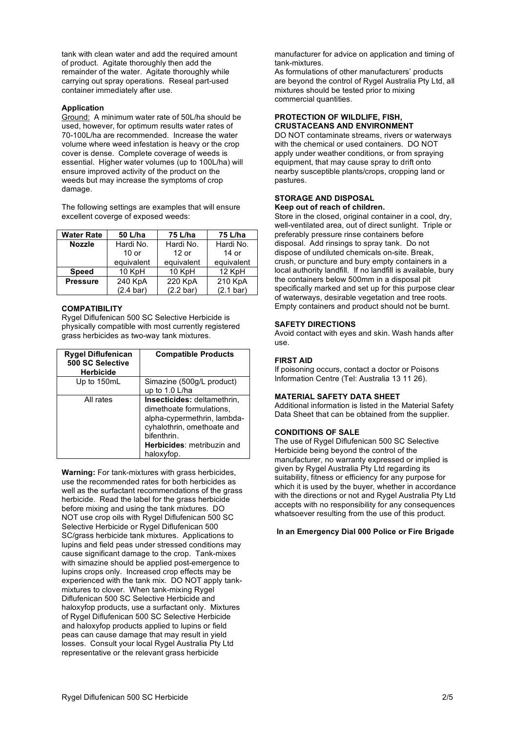tank with clean water and add the required amount of product. Agitate thoroughly then add the remainder of the water. Agitate thoroughly while carrying out spray operations. Reseal part-used container immediately after use.

### **Application**

Ground: A minimum water rate of 50L/ha should be used, however, for optimum results water rates of 70-100L/ha are recommended. Increase the water volume where weed infestation is heavy or the crop cover is dense. Complete coverage of weeds is essential. Higher water volumes (up to 100L/ha) will ensure improved activity of the product on the weeds but may increase the symptoms of crop damage.

The following settings are examples that will ensure excellent coverge of exposed weeds:

| <b>Water Rate</b>          | 50 L/ha             | 75 L/ha             | 75 L/ha    |  |
|----------------------------|---------------------|---------------------|------------|--|
| <b>Nozzle</b>              | Hardi No.           |                     | Hardi No.  |  |
|                            | $10$ or             | $12$ or             | 14 or      |  |
|                            | equivalent          | equivalent          | equivalent |  |
| <b>Speed</b>               | 10 KpH              |                     | 12 KpH     |  |
| 240 KpA<br><b>Pressure</b> |                     | 220 KpA             | 210 KpA    |  |
|                            | $(2.4 \text{ bar})$ | $(2.2 \text{ bar})$ | (2.1 bar)  |  |

# **COMPATIBILITY**

Rygel Diflufenican 500 SC Selective Herbicide is physically compatible with most currently registered grass herbicides as two-way tank mixtures.

| <b>Rygel Diflufenican</b><br>500 SC Selective<br><b>Herbicide</b> | <b>Compatible Products</b>                                                                                                                                                      |
|-------------------------------------------------------------------|---------------------------------------------------------------------------------------------------------------------------------------------------------------------------------|
| Up to 150mL                                                       | Simazine (500g/L product)<br>up to $1.0$ L/ha                                                                                                                                   |
| All rates                                                         | Insecticides: deltamethrin,<br>dimethoate formulations,<br>alpha-cypermethrin, lambda-<br>cyhalothrin, omethoate and<br>bifenthrin.<br>Herbicides: metribuzin and<br>haloxyfop. |

**Warning:** For tank-mixtures with grass herbicides, use the recommended rates for both herbicides as well as the surfactant recommendations of the grass herbicide. Read the label for the grass herbicide before mixing and using the tank mixtures. DO NOT use crop oils with Rygel Diflufenican 500 SC Selective Herbicide or Rygel Diflufenican 500 SC/grass herbicide tank mixtures. Applications to lupins and field peas under stressed conditions may cause significant damage to the crop. Tank-mixes with simazine should be applied post-emergence to lupins crops only. Increased crop effects may be experienced with the tank mix. DO NOT apply tankmixtures to clover. When tank-mixing Rygel Diflufenican 500 SC Selective Herbicide and haloxyfop products, use a surfactant only. Mixtures of Rygel Diflufenican 500 SC Selective Herbicide and haloxyfop products applied to lupins or field peas can cause damage that may result in yield losses. Consult your local Rygel Australia Pty Ltd representative or the relevant grass herbicide

manufacturer for advice on application and timing of tank-mixtures.

As formulations of other manufacturers' products are beyond the control of Rygel Australia Pty Ltd, all mixtures should be tested prior to mixing commercial quantities.

### **PROTECTION OF WILDLIFE, FISH, CRUSTACEANS AND ENVIRONMENT**

DO NOT contaminate streams, rivers or waterways with the chemical or used containers. DO NOT apply under weather conditions, or from spraying equipment, that may cause spray to drift onto nearby susceptible plants/crops, cropping land or pastures.

#### **STORAGE AND DISPOSAL Keep out of reach of children.**

Store in the closed, original container in a cool, dry, well-ventilated area, out of direct sunlight. Triple or preferably pressure rinse containers before disposal. Add rinsings to spray tank. Do not dispose of undiluted chemicals on-site. Break, crush, or puncture and bury empty containers in a local authority landfill. If no landfill is available, bury the containers below 500mm in a disposal pit specifically marked and set up for this purpose clear of waterways, desirable vegetation and tree roots. Empty containers and product should not be burnt.

# **SAFETY DIRECTIONS**

Avoid contact with eyes and skin. Wash hands after use.

# **FIRST AID**

If poisoning occurs, contact a doctor or Poisons Information Centre (Tel: Australia 13 11 26).

#### **MATERIAL SAFETY DATA SHEET**

Additional information is listed in the Material Safety Data Sheet that can be obtained from the supplier.

### **CONDITIONS OF SALE**

The use of Rygel Diflufenican 500 SC Selective Herbicide being beyond the control of the manufacturer, no warranty expressed or implied is given by Rygel Australia Pty Ltd regarding its suitability, fitness or efficiency for any purpose for which it is used by the buyer, whether in accordance with the directions or not and Rygel Australia Pty Ltd accepts with no responsibility for any consequences whatsoever resulting from the use of this product.

# **In an Emergency Dial 000 Police or Fire Brigade**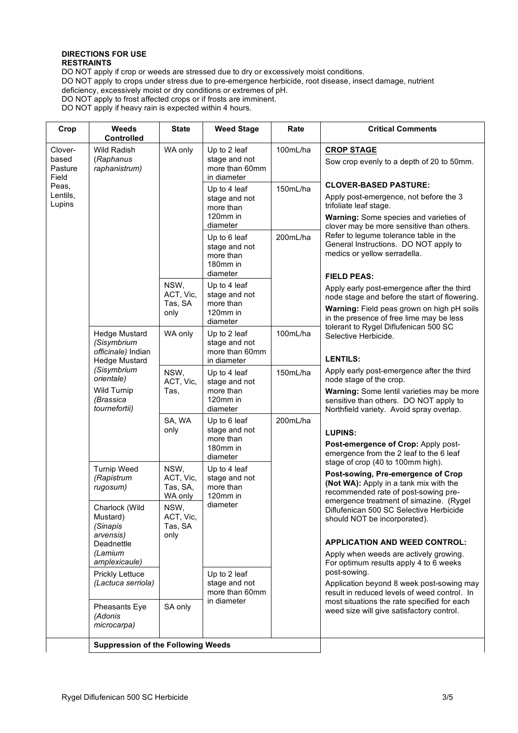# **DIRECTIONS FOR USE RESTRAINTS**

DO NOT apply if crop or weeds are stressed due to dry or excessively moist conditions. DO NOT apply to crops under stress due to pre-emergence herbicide, root disease, insect damage, nutrient deficiency, excessively moist or dry conditions or extremes of pH. DO NOT apply to frost affected crops or if frosts are imminent.

DO NOT apply if heavy rain is expected within 4 hours.

| Crop                                                                                                                                                                                                                                                                                          | <b>Weeds</b><br><b>Controlled</b>            | <b>State</b>                                                       | <b>Weed Stage</b>                                                  | Rate                                                                                                                                                                                                        | <b>Critical Comments</b>                                                                                                                                                                             |
|-----------------------------------------------------------------------------------------------------------------------------------------------------------------------------------------------------------------------------------------------------------------------------------------------|----------------------------------------------|--------------------------------------------------------------------|--------------------------------------------------------------------|-------------------------------------------------------------------------------------------------------------------------------------------------------------------------------------------------------------|------------------------------------------------------------------------------------------------------------------------------------------------------------------------------------------------------|
| Clover-<br><b>Wild Radish</b><br>based<br>(Raphanus<br>Pasture<br>raphanistrum)<br>Field<br>Peas,<br>Lentils,<br>Lupins<br><b>Hedge Mustard</b><br>(Sisymbrium<br>officinale) Indian<br><b>Hedge Mustard</b><br>(Sisymbrium<br>orientale)<br><b>Wild Turnip</b><br>(Brassica<br>tournefortii) |                                              | WA only                                                            | Up to 2 leaf<br>stage and not<br>more than 60mm<br>in diameter     | 100mL/ha                                                                                                                                                                                                    | <b>CROP STAGE</b><br>Sow crop evenly to a depth of 20 to 50mm.                                                                                                                                       |
|                                                                                                                                                                                                                                                                                               |                                              |                                                                    | Up to 4 leaf<br>stage and not<br>more than<br>120mm in<br>diameter | 150mL/ha                                                                                                                                                                                                    | <b>CLOVER-BASED PASTURE:</b><br>Apply post-emergence, not before the 3<br>trifoliate leaf stage.<br>Warning: Some species and varieties of<br>clover may be more sensitive than others.              |
|                                                                                                                                                                                                                                                                                               |                                              |                                                                    | Up to 6 leaf<br>stage and not<br>more than<br>180mm in<br>diameter | 200mL/ha                                                                                                                                                                                                    | Refer to legume tolerance table in the<br>General Instructions. DO NOT apply to<br>medics or yellow serradella.                                                                                      |
|                                                                                                                                                                                                                                                                                               | NSW,<br>ACT, Vic,<br>Tas, SA<br>only         | Up to 4 leaf<br>stage and not<br>more than<br>120mm in<br>diameter |                                                                    | <b>FIELD PEAS:</b><br>Apply early post-emergence after the third<br>node stage and before the start of flowering.<br>Warning: Field peas grown on high pH soils<br>in the presence of free lime may be less |                                                                                                                                                                                                      |
|                                                                                                                                                                                                                                                                                               | WA only                                      | Up to 2 leaf<br>stage and not<br>more than 60mm<br>in diameter     | 100mL/ha                                                           | tolerant to Rygel Diflufenican 500 SC<br>Selective Herbicide.<br><b>LENTILS:</b>                                                                                                                            |                                                                                                                                                                                                      |
|                                                                                                                                                                                                                                                                                               | NSW,<br>ACT, Vic,<br>Tas,                    | Up to 4 leaf<br>stage and not<br>more than<br>120mm in<br>diameter | 150mL/ha                                                           | Apply early post-emergence after the third<br>node stage of the crop.<br>Warning: Some lentil varieties may be more<br>sensitive than others. DO NOT apply to<br>Northfield variety. Avoid spray overlap.   |                                                                                                                                                                                                      |
|                                                                                                                                                                                                                                                                                               |                                              | SA, WA<br>only                                                     | Up to 6 leaf<br>stage and not<br>more than<br>180mm in<br>diameter | 200mL/ha                                                                                                                                                                                                    | <b>LUPINS:</b><br>Post-emergence of Crop: Apply post-<br>emergence from the 2 leaf to the 6 leaf                                                                                                     |
|                                                                                                                                                                                                                                                                                               | <b>Turnip Weed</b><br>(Rapistrum<br>rugosum) | NSW,<br>ACT, Vic,<br>Tas, SA,<br>WA only                           | Up to 4 leaf<br>stage and not<br>more than<br>120mm in<br>diameter |                                                                                                                                                                                                             | stage of crop (40 to 100mm high).<br>Post-sowing, Pre-emergence of Crop<br>(Not WA): Apply in a tank mix with the<br>recommended rate of post-sowing pre-<br>emergence treatment of simazine. (Rygel |
| Mustard)<br>(Sinapis<br>arvensis)<br>Deadnettle<br>(Lamium<br>(Adonis                                                                                                                                                                                                                         | Charlock (Wild                               | NSW,<br>ACT, Vic,<br>Tas, SA<br>only                               | Up to 2 leaf<br>stage and not<br>more than 60mm<br>in diameter     |                                                                                                                                                                                                             | Diflufenican 500 SC Selective Herbicide<br>should NOT be incorporated).<br><b>APPLICATION AND WEED CONTROL:</b>                                                                                      |
|                                                                                                                                                                                                                                                                                               | amplexicaule)                                |                                                                    |                                                                    |                                                                                                                                                                                                             | Apply when weeds are actively growing.<br>For optimum results apply 4 to 6 weeks                                                                                                                     |
|                                                                                                                                                                                                                                                                                               | <b>Prickly Lettuce</b><br>(Lactuca serriola) |                                                                    |                                                                    |                                                                                                                                                                                                             | post-sowing.<br>Application beyond 8 week post-sowing may<br>result in reduced levels of weed control. In                                                                                            |
|                                                                                                                                                                                                                                                                                               | Pheasants Eye<br>microcarpa)                 | SA only                                                            |                                                                    |                                                                                                                                                                                                             | most situations the rate specified for each<br>weed size will give satisfactory control.                                                                                                             |
|                                                                                                                                                                                                                                                                                               | <b>Suppression of the Following Weeds</b>    |                                                                    |                                                                    |                                                                                                                                                                                                             |                                                                                                                                                                                                      |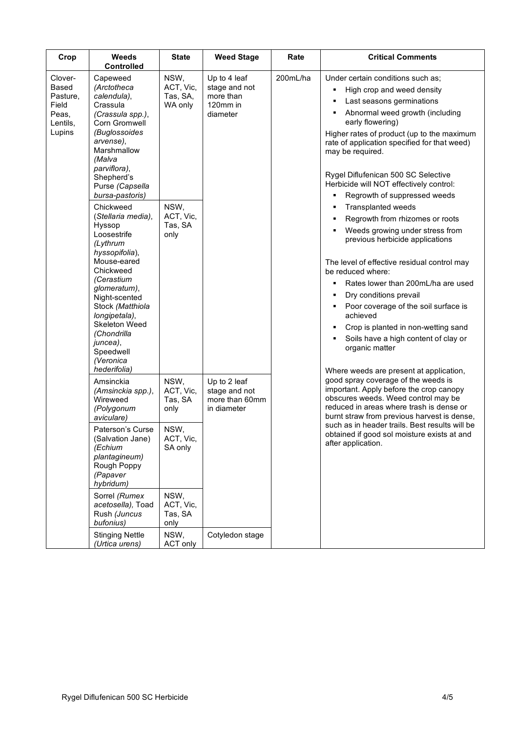| Crop                                                                        | Weeds<br><b>Controlled</b>                                                                                                                                                                                                                                                                   | <b>State</b>                                                                                                 | <b>Weed Stage</b>                                                  | Rate     | <b>Critical Comments</b>                                                                                                                                                                                                                                                                                                                                                                                                                                                                   |
|-----------------------------------------------------------------------------|----------------------------------------------------------------------------------------------------------------------------------------------------------------------------------------------------------------------------------------------------------------------------------------------|--------------------------------------------------------------------------------------------------------------|--------------------------------------------------------------------|----------|--------------------------------------------------------------------------------------------------------------------------------------------------------------------------------------------------------------------------------------------------------------------------------------------------------------------------------------------------------------------------------------------------------------------------------------------------------------------------------------------|
| Clover-<br><b>Based</b><br>Pasture,<br>Field<br>Peas,<br>Lentils,<br>Lupins | Capeweed<br>(Arctotheca<br>calendula),<br>Crassula<br>(Crassula spp.),<br>Corn Gromwell<br>(Buglossoides<br>arvense),<br>Marshmallow<br>(Malva<br>parviflora),<br>Shepherd's<br>Purse (Capsella<br>bursa-pastoris)                                                                           | NSW,<br>ACT, Vic,<br>Tas, SA,<br>WA only                                                                     | Up to 4 leaf<br>stage and not<br>more than<br>120mm in<br>diameter | 200mL/ha | Under certain conditions such as;<br>High crop and weed density<br>٠<br>Last seasons germinations<br>п<br>Abnormal weed growth (including<br>٠<br>early flowering)<br>Higher rates of product (up to the maximum<br>rate of application specified for that weed)<br>may be required.<br>Rygel Diflufenican 500 SC Selective<br>Herbicide will NOT effectively control:<br>Regrowth of suppressed weeds<br>٠                                                                                |
|                                                                             | Chickweed<br>(Stellaria media),<br>Hyssop<br>Loosestrife<br>(Lythrum<br>hyssopifolia),<br>Mouse-eared<br>Chickweed<br>(Cerastium<br>glomeratum),<br>Night-scented<br>Stock (Matthiola<br>longipetala),<br>Skeleton Weed<br>(Chondrilla<br>juncea),<br>Speedwell<br>(Veronica<br>hederifolia) | NSW,<br>ACT, Vic,<br>Tas, SA<br>only                                                                         |                                                                    |          | <b>Transplanted weeds</b><br>٠<br>Regrowth from rhizomes or roots<br>٠<br>Weeds growing under stress from<br>previous herbicide applications<br>The level of effective residual control may<br>be reduced where:<br>Rates lower than 200mL/ha are used<br>Dry conditions prevail<br>Poor coverage of the soil surface is<br>٠<br>achieved<br>Crop is planted in non-wetting sand<br>٠<br>Soils have a high content of clay or<br>organic matter<br>Where weeds are present at application, |
|                                                                             | Amsinckia<br>(Amsinckia spp.),<br>Wireweed<br>(Polygonum<br>aviculare)<br>Paterson's Curse<br>(Salvation Jane)<br>(Echium<br>plantagineum)<br>Rough Poppy<br>(Papaver<br>hybridum)<br>Sorrel (Rumex<br>acetosella), Toad<br>Rush (Juncus<br>bufonius)                                        | NSW,<br>ACT, Vic,<br>Tas, SA<br>only<br>NSW,<br>ACT, Vic,<br>SA only<br>NSW,<br>ACT, Vic,<br>Tas, SA<br>only | Up to 2 leaf<br>stage and not<br>more than 60mm<br>in diameter     |          | good spray coverage of the weeds is<br>important. Apply before the crop canopy<br>obscures weeds. Weed control may be<br>reduced in areas where trash is dense or<br>burnt straw from previous harvest is dense,<br>such as in header trails. Best results will be<br>obtained if good sol moisture exists at and<br>after application.                                                                                                                                                    |
|                                                                             | <b>Stinging Nettle</b><br>(Urtica urens)                                                                                                                                                                                                                                                     | NSW,<br>ACT only                                                                                             | Cotyledon stage                                                    |          |                                                                                                                                                                                                                                                                                                                                                                                                                                                                                            |